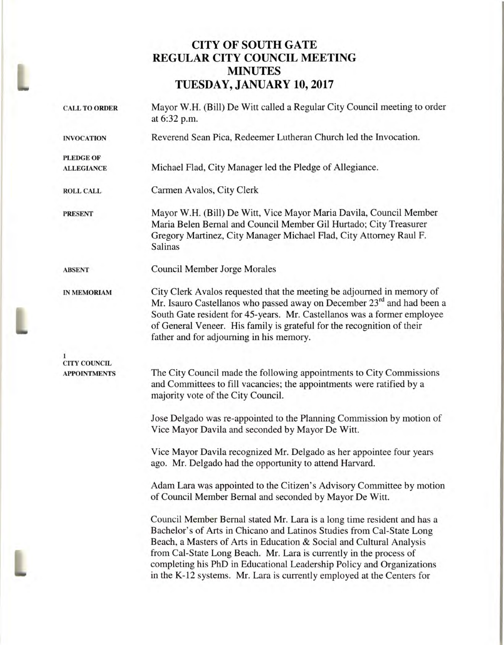# **CITY OF SOUTH GATE REGULAR CITY COUNCIL MEETING MINUTES TUESDAY, JANUARY 10, 2017**

| <b>CALL TO ORDER</b>                       | Mayor W.H. (Bill) De Witt called a Regular City Council meeting to order<br>at 6:32 p.m.                                                                                                                                                                                                                                                                                                                                                          |  |
|--------------------------------------------|---------------------------------------------------------------------------------------------------------------------------------------------------------------------------------------------------------------------------------------------------------------------------------------------------------------------------------------------------------------------------------------------------------------------------------------------------|--|
| <b>INVOCATION</b>                          | Reverend Sean Pica, Redeemer Lutheran Church led the Invocation.                                                                                                                                                                                                                                                                                                                                                                                  |  |
| <b>PLEDGE OF</b>                           |                                                                                                                                                                                                                                                                                                                                                                                                                                                   |  |
| <b>ALLEGIANCE</b>                          | Michael Flad, City Manager led the Pledge of Allegiance.                                                                                                                                                                                                                                                                                                                                                                                          |  |
| <b>ROLL CALL</b>                           | Carmen Avalos, City Clerk                                                                                                                                                                                                                                                                                                                                                                                                                         |  |
| <b>PRESENT</b>                             | Mayor W.H. (Bill) De Witt, Vice Mayor Maria Davila, Council Member<br>Maria Belen Bernal and Council Member Gil Hurtado; City Treasurer<br>Gregory Martinez, City Manager Michael Flad, City Attorney Raul F.<br>Salinas                                                                                                                                                                                                                          |  |
| <b>ABSENT</b>                              | <b>Council Member Jorge Morales</b>                                                                                                                                                                                                                                                                                                                                                                                                               |  |
| <b>IN MEMORIAM</b>                         | City Clerk Avalos requested that the meeting be adjourned in memory of<br>Mr. Isauro Castellanos who passed away on December 23 <sup>rd</sup> and had been a<br>South Gate resident for 45-years. Mr. Castellanos was a former employee<br>of General Veneer. His family is grateful for the recognition of their<br>father and for adjourning in his memory.                                                                                     |  |
|                                            |                                                                                                                                                                                                                                                                                                                                                                                                                                                   |  |
| <b>CITY COUNCIL</b><br><b>APPOINTMENTS</b> | The City Council made the following appointments to City Commissions<br>and Committees to fill vacancies; the appointments were ratified by a<br>majority vote of the City Council.                                                                                                                                                                                                                                                               |  |
|                                            | Jose Delgado was re-appointed to the Planning Commission by motion of<br>Vice Mayor Davila and seconded by Mayor De Witt.                                                                                                                                                                                                                                                                                                                         |  |
|                                            | Vice Mayor Davila recognized Mr. Delgado as her appointee four years<br>ago. Mr. Delgado had the opportunity to attend Harvard.                                                                                                                                                                                                                                                                                                                   |  |
|                                            | Adam Lara was appointed to the Citizen's Advisory Committee by motion<br>of Council Member Bernal and seconded by Mayor De Witt.                                                                                                                                                                                                                                                                                                                  |  |
|                                            | Council Member Bernal stated Mr. Lara is a long time resident and has a<br>Bachelor's of Arts in Chicano and Latinos Studies from Cal-State Long<br>Beach, a Masters of Arts in Education & Social and Cultural Analysis<br>from Cal-State Long Beach. Mr. Lara is currently in the process of<br>completing his PhD in Educational Leadership Policy and Organizations<br>in the K-12 systems. Mr. Lara is currently employed at the Centers for |  |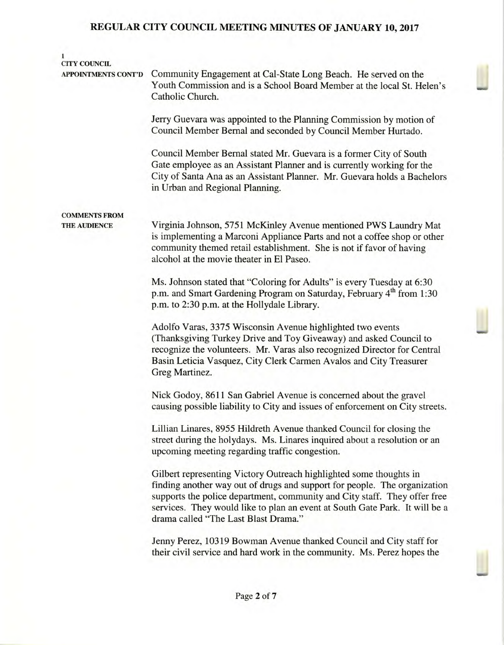## 1 CITY COUNCIL

APPOINTMENTS CONT'D Community Engagement at Cal-State Long Beach. He served on the Youth Commission and is a School Board Member at the local St. Helen's Catholic Church.

> Jerry Guevara was appointed to the Planning Commission by motion of Council Member Bernal and seconded by Council Member Hurtado.

Council Member Bernal stated Mr. Guevara is a former City of South Gate employee as an Assistant Planner and is currently working for the City of Santa Ana as an Assistant Planner. Mr. Guevara holds a Bachelors in Urban and Regional Planning.

# COMMENTS FROM

THE AUDIENCE Virginia Johnson, 5751 McKinley Avenue mentioned PWS Laundry Mat is implementing a Marconi Appliance Parts and not a coffee shop or other community themed retail establishment. She is not if favor of having alcohol at the movie theater in El Paseo.

> Ms. Johnson stated that "Coloring for Adults" is every Tuesday at 6:30 p.m. and Smart Gardening Program on Saturday, February  $4<sup>th</sup>$  from 1:30 p.m. to 2:30 p.m. at the Hollydale Library.

Adolfo Varas, 3375 Wisconsin Avenue highlighted two events (Thanksgiving Turkey Drive and Toy Giveaway) and asked Council to recognize the volunteers. Mr. Varas also recognized Director for Central Basin Leticia Vasquez, City Clerk Carmen Avalos and City Treasurer Greg Martinez.

Nick Godoy, 8611 San Gabriel Avenue is concerned about the gravel causing possible liability to City and issues of enforcement on City streets.

Lillian Linares, 8955 Hildreth Avenue thanked Council for closing the street during the holydays. Ms. Linares inquired about a resolution or an upcoming meeting regarding traffic congestion.

Gilbert representing Victory Outreach highlighted some thoughts in finding another way out of drugs and support for people. The organization supports the police department, community and City staff. They offer free services. They would like to plan an event at South Gate Park. It will be a drama called "The Last Blast Drama."

Jenny Perez, 10319 Bowman Avenue thanked Council and City staff for their civil service and hard work in the community. Ms. Perez hopes the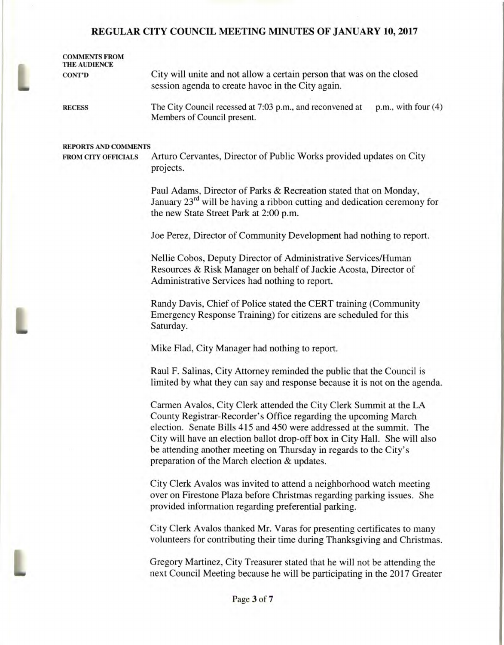|  | <b>COMMENTS FROM</b><br><b>THE AUDIENCE</b> |                                                                                                                                                                                                                                                                                                                                                                                                                  |
|--|---------------------------------------------|------------------------------------------------------------------------------------------------------------------------------------------------------------------------------------------------------------------------------------------------------------------------------------------------------------------------------------------------------------------------------------------------------------------|
|  | <b>CONT'D</b>                               | City will unite and not allow a certain person that was on the closed<br>session agenda to create havoc in the City again.                                                                                                                                                                                                                                                                                       |
|  | <b>RECESS</b>                               | The City Council recessed at 7:03 p.m., and reconvened at<br>$p.m.,$ with four $(4)$<br>Members of Council present.                                                                                                                                                                                                                                                                                              |
|  | <b>REPORTS AND COMMENTS</b>                 |                                                                                                                                                                                                                                                                                                                                                                                                                  |
|  | <b>FROM CITY OFFICIALS</b>                  | Arturo Cervantes, Director of Public Works provided updates on City<br>projects.                                                                                                                                                                                                                                                                                                                                 |
|  |                                             | Paul Adams, Director of Parks & Recreation stated that on Monday,<br>January 23 <sup>rd</sup> will be having a ribbon cutting and dedication ceremony for<br>the new State Street Park at 2:00 p.m.                                                                                                                                                                                                              |
|  |                                             | Joe Perez, Director of Community Development had nothing to report.                                                                                                                                                                                                                                                                                                                                              |
|  |                                             | Nellie Cobos, Deputy Director of Administrative Services/Human<br>Resources & Risk Manager on behalf of Jackie Acosta, Director of<br>Administrative Services had nothing to report.                                                                                                                                                                                                                             |
|  |                                             | Randy Davis, Chief of Police stated the CERT training (Community<br>Emergency Response Training) for citizens are scheduled for this<br>Saturday.                                                                                                                                                                                                                                                                |
|  |                                             | Mike Flad, City Manager had nothing to report.                                                                                                                                                                                                                                                                                                                                                                   |
|  |                                             | Raul F. Salinas, City Attorney reminded the public that the Council is<br>limited by what they can say and response because it is not on the agenda.                                                                                                                                                                                                                                                             |
|  |                                             | Carmen Avalos, City Clerk attended the City Clerk Summit at the LA<br>County Registrar-Recorder's Office regarding the upcoming March<br>election. Senate Bills 415 and 450 were addressed at the summit. The<br>City will have an election ballot drop-off box in City Hall. She will also<br>be attending another meeting on Thursday in regards to the City's<br>preparation of the March election & updates. |
|  |                                             | City Clerk Avalos was invited to attend a neighborhood watch meeting<br>over on Firestone Plaza before Christmas regarding parking issues. She<br>provided information regarding preferential parking.                                                                                                                                                                                                           |
|  |                                             | City Clerk Avalos thanked Mr. Varas for presenting certificates to many<br>volunteers for contributing their time during Thanksgiving and Christmas.                                                                                                                                                                                                                                                             |
|  |                                             | Gregory Martinez, City Treasurer stated that he will not be attending the<br>next Council Meeting because he will be participating in the 2017 Greater                                                                                                                                                                                                                                                           |
|  |                                             |                                                                                                                                                                                                                                                                                                                                                                                                                  |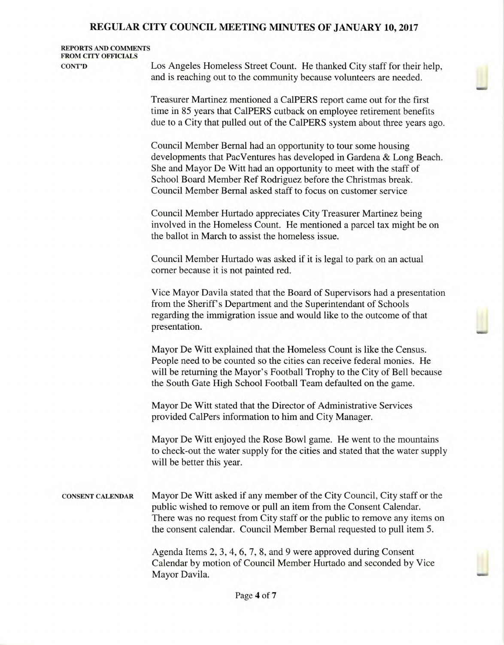#### REPORTS AND COMMENTS FROM CITY OFFICIALS

CONT'D Los Angeles Homeless Street Count. He thanked City staff for their help, and is reaching out to the community because volunteers are needed.

> Treasurer Martinez mentioned a Ca1PERS report came out for the first time in 85 years that Ca1PERS cutback on employee retirement benefits due to a City that pulled out of the Ca1PERS system about three years ago.

> Council Member Bernal had an opportunity to tour some housing developments that PacVentures has developed in Gardena & Long Beach. She and Mayor De Witt had an opportunity to meet with the staff of School Board Member Ref Rodriguez before the Christmas break. Council Member Bernal asked staff to focus on customer service

Council Member Hurtado appreciates City Treasurer Martinez being involved in the Homeless Count. He mentioned a parcel tax might be on the ballot in March to assist the homeless issue.

Council Member Hurtado was asked if it is legal to park on an actual corner because it is not painted red.

Vice Mayor Davila stated that the Board of Supervisors had a presentation from the Sheriff's Department and the Superintendant of Schools regarding the immigration issue and would like to the outcome of that presentation.

Mayor De Witt explained that the Homeless Count is like the Census. People need to be counted so the cities can receive federal monies. He will be returning the Mayor's Football Trophy to the City of Bell because the South Gate High School Football Team defaulted on the game.

Mayor De Witt stated that the Director of Administrative Services provided CalPers information to him and City Manager.

Mayor De Witt enjoyed the Rose Bowl game. He went to the mountains to check-out the water supply for the cities and stated that the water supply will be better this year.

CONSENT CALENDAR Mayor De Witt asked if any member of the City Council, City staff or the public wished to remove or pull an item from the Consent Calendar. There was no request from City staff or the public to remove any items on the consent calendar. Council Member Bernal requested to pull item 5.

> Agenda Items 2, 3, 4, 6, 7, 8, and 9 were approved during Consent Calendar by motion of Council Member Hurtado and seconded by Vice Mayor Davila.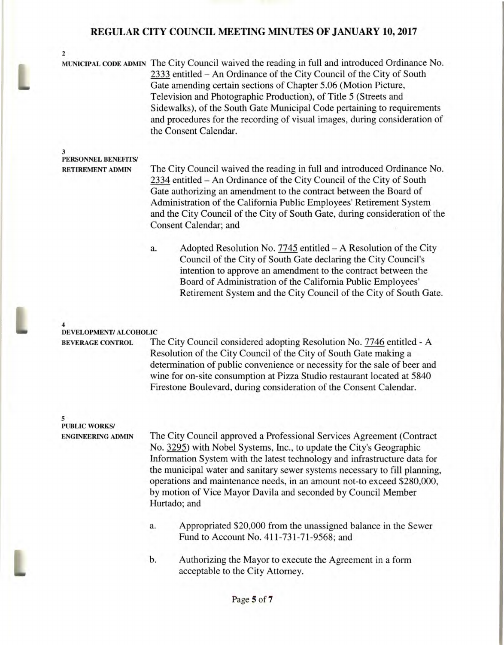MUNICIPAL CODE ADMIN The City Council waived the reading in full and introduced Ordinance No. 2333 entitled — An Ordinance of the City Council of the City of South Gate amending certain sections of Chapter 5.06 (Motion Picture, Television and Photographic Production), of Title 5 (Streets and Sidewalks), of the South Gate Municipal Code pertaining to requirements and procedures for the recording of visual images, during consideration of the Consent Calendar.

#### 3 **PERSONNEL BENEFITS/**

2

**RETIREMENT ADMIN** The City Council waived the reading in full and introduced Ordinance No. 2334 entitled — An Ordinance of the City Council of the City of South Gate authorizing an amendment to the contract between the Board of Administration of the California Public Employees' Retirement System and the City Council of the City of South Gate, during consideration of the Consent Calendar; and

> a. Adopted Resolution No. 7745 entitled — A Resolution of the City Council of the City of South Gate declaring the City Council's intention to approve an amendment to the contract between the Board of Administration of the California Public Employees' Retirement System and the City Council of the City of South Gate.

#### **4 DEVELOPMENT/ ALCOHOLIC**

**BEVERAGE CONTROL** The City Council considered adopting Resolution No. 7746 entitled - A Resolution of the City Council of the City of South Gate making a determination of public convenience or necessity for the sale of beer and wine for on-site consumption at Pizza Studio restaurant located at 5840 Firestone Boulevard, during consideration of the Consent Calendar.

#### **5 PUBLIC WORKS/**

L

**ENGINEERING ADMIN** The City Council approved a Professional Services Agreement (Contract No. 3295) with Nobel Systems, Inc., to update the City's Geographic Information System with the latest technology and infrastructure data for the municipal water and sanitary sewer systems necessary to fill planning, operations and maintenance needs, in an amount not-to exceed \$280,000, by motion of Vice Mayor Davila and seconded by Council Member Hurtado; and

- a. Appropriated \$20,000 from the unassigned balance in the Sewer Fund to Account No. 411-731-71-9568; and
- b. Authorizing the Mayor to execute the Agreement in a form acceptable to the City Attorney.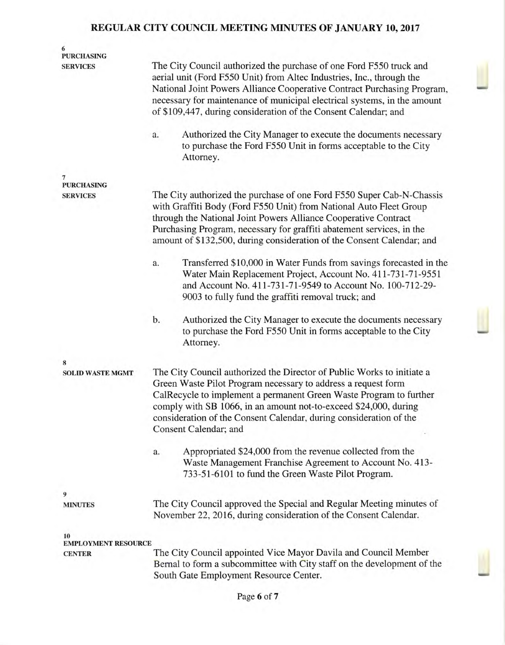| 6<br><b>PURCHASING</b>           |                                                                                                                                                                                                                                                                                                                                                                                                                                                     |  |
|----------------------------------|-----------------------------------------------------------------------------------------------------------------------------------------------------------------------------------------------------------------------------------------------------------------------------------------------------------------------------------------------------------------------------------------------------------------------------------------------------|--|
| <b>SERVICES</b>                  | The City Council authorized the purchase of one Ford F550 truck and<br>aerial unit (Ford F550 Unit) from Altec Industries, Inc., through the<br>National Joint Powers Alliance Cooperative Contract Purchasing Program,<br>necessary for maintenance of municipal electrical systems, in the amount<br>of \$109,447, during consideration of the Consent Calendar; and                                                                              |  |
|                                  | Authorized the City Manager to execute the documents necessary<br>a.<br>to purchase the Ford F550 Unit in forms acceptable to the City<br>Attorney.                                                                                                                                                                                                                                                                                                 |  |
| 7<br><b>PURCHASING</b>           |                                                                                                                                                                                                                                                                                                                                                                                                                                                     |  |
| <b>SERVICES</b>                  | The City authorized the purchase of one Ford F550 Super Cab-N-Chassis<br>with Graffiti Body (Ford F550 Unit) from National Auto Fleet Group<br>through the National Joint Powers Alliance Cooperative Contract<br>Purchasing Program, necessary for graffiti abatement services, in the<br>amount of \$132,500, during consideration of the Consent Calendar; and                                                                                   |  |
|                                  | Transferred \$10,000 in Water Funds from savings forecasted in the<br>a.<br>Water Main Replacement Project, Account No. 411-731-71-9551<br>and Account No. 411-731-71-9549 to Account No. 100-712-29-<br>9003 to fully fund the graffiti removal truck; and                                                                                                                                                                                         |  |
|                                  | Authorized the City Manager to execute the documents necessary<br>b.<br>to purchase the Ford F550 Unit in forms acceptable to the City<br>Attorney.                                                                                                                                                                                                                                                                                                 |  |
| 8                                |                                                                                                                                                                                                                                                                                                                                                                                                                                                     |  |
| <b>SOLID WASTE MGMT</b>          | The City Council authorized the Director of Public Works to initiate a<br>Green Waste Pilot Program necessary to address a request form<br>CalRecycle to implement a permanent Green Waste Program to further<br>comply with SB 1066, in an amount not-to-exceed \$24,000, during<br>consideration of the Consent Calendar, during consideration of the<br>Consent Calendar; and<br>Appropriated \$24,000 from the revenue collected from the<br>a. |  |
|                                  | Waste Management Franchise Agreement to Account No. 413-<br>733-51-6101 to fund the Green Waste Pilot Program.                                                                                                                                                                                                                                                                                                                                      |  |
| 9                                |                                                                                                                                                                                                                                                                                                                                                                                                                                                     |  |
| <b>MINUTES</b>                   | The City Council approved the Special and Regular Meeting minutes of<br>November 22, 2016, during consideration of the Consent Calendar.                                                                                                                                                                                                                                                                                                            |  |
| 10<br><b>EMPLOYMENT RESOURCE</b> |                                                                                                                                                                                                                                                                                                                                                                                                                                                     |  |
| <b>CENTER</b>                    | The City Council appointed Vice Mayor Davila and Council Member<br>Bernal to form a subcommittee with City staff on the development of the<br>South Gate Employment Resource Center.                                                                                                                                                                                                                                                                |  |